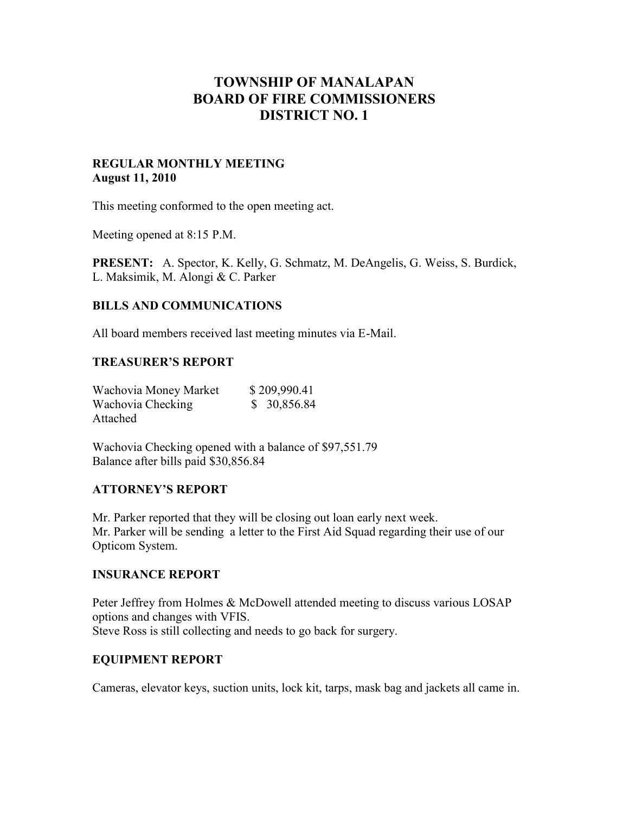# **TOWNSHIP OF MANALAPAN BOARD OF FIRE COMMISSIONERS DISTRICT NO. 1**

### **REGULAR MONTHLY MEETING August 11, 2010**

This meeting conformed to the open meeting act.

Meeting opened at 8:15 P.M.

**PRESENT:** A. Spector, K. Kelly, G. Schmatz, M. DeAngelis, G. Weiss, S. Burdick, L. Maksimik, M. Alongi & C. Parker

### **BILLS AND COMMUNICATIONS**

All board members received last meeting minutes via E-Mail.

#### **TREASURER'S REPORT**

| Wachovia Money Market | \$209,990.41 |
|-----------------------|--------------|
| Wachovia Checking     | \$30,856.84  |
| Attached              |              |

Wachovia Checking opened with a balance of \$97,551.79 Balance after bills paid \$30,856.84

#### **ATTORNEY'S REPORT**

Mr. Parker reported that they will be closing out loan early next week. Mr. Parker will be sending a letter to the First Aid Squad regarding their use of our Opticom System.

#### **INSURANCE REPORT**

Peter Jeffrey from Holmes & McDowell attended meeting to discuss various LOSAP options and changes with VFIS. Steve Ross is still collecting and needs to go back for surgery.

#### **EQUIPMENT REPORT**

Cameras, elevator keys, suction units, lock kit, tarps, mask bag and jackets all came in.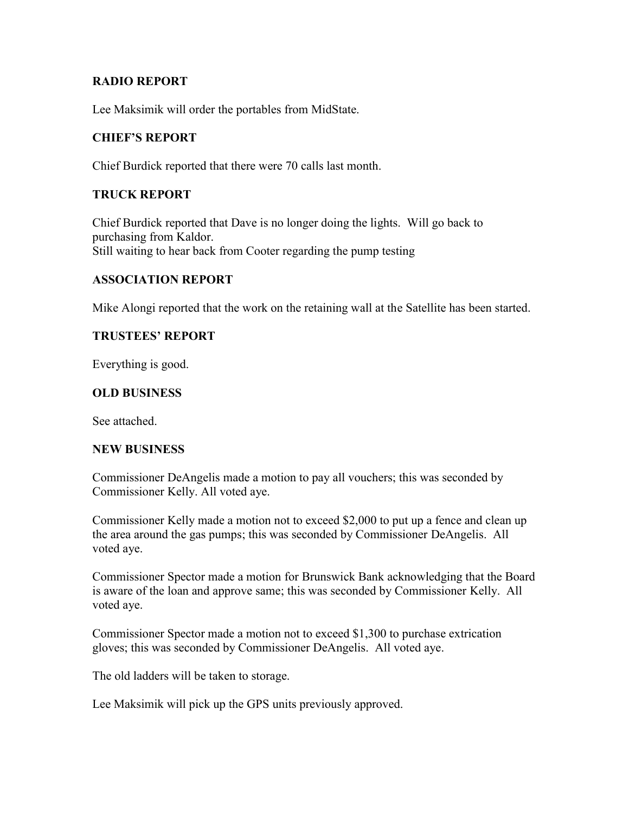### **RADIO REPORT**

Lee Maksimik will order the portables from MidState.

# **CHIEF'S REPORT**

Chief Burdick reported that there were 70 calls last month.

# **TRUCK REPORT**

Chief Burdick reported that Dave is no longer doing the lights. Will go back to purchasing from Kaldor. Still waiting to hear back from Cooter regarding the pump testing

### **ASSOCIATION REPORT**

Mike Alongi reported that the work on the retaining wall at the Satellite has been started.

### **TRUSTEES' REPORT**

Everything is good.

### **OLD BUSINESS**

See attached.

#### **NEW BUSINESS**

Commissioner DeAngelis made a motion to pay all vouchers; this was seconded by Commissioner Kelly. All voted aye.

Commissioner Kelly made a motion not to exceed \$2,000 to put up a fence and clean up the area around the gas pumps; this was seconded by Commissioner DeAngelis. All voted aye.

Commissioner Spector made a motion for Brunswick Bank acknowledging that the Board is aware of the loan and approve same; this was seconded by Commissioner Kelly. All voted aye.

Commissioner Spector made a motion not to exceed \$1,300 to purchase extrication gloves; this was seconded by Commissioner DeAngelis. All voted aye.

The old ladders will be taken to storage.

Lee Maksimik will pick up the GPS units previously approved.